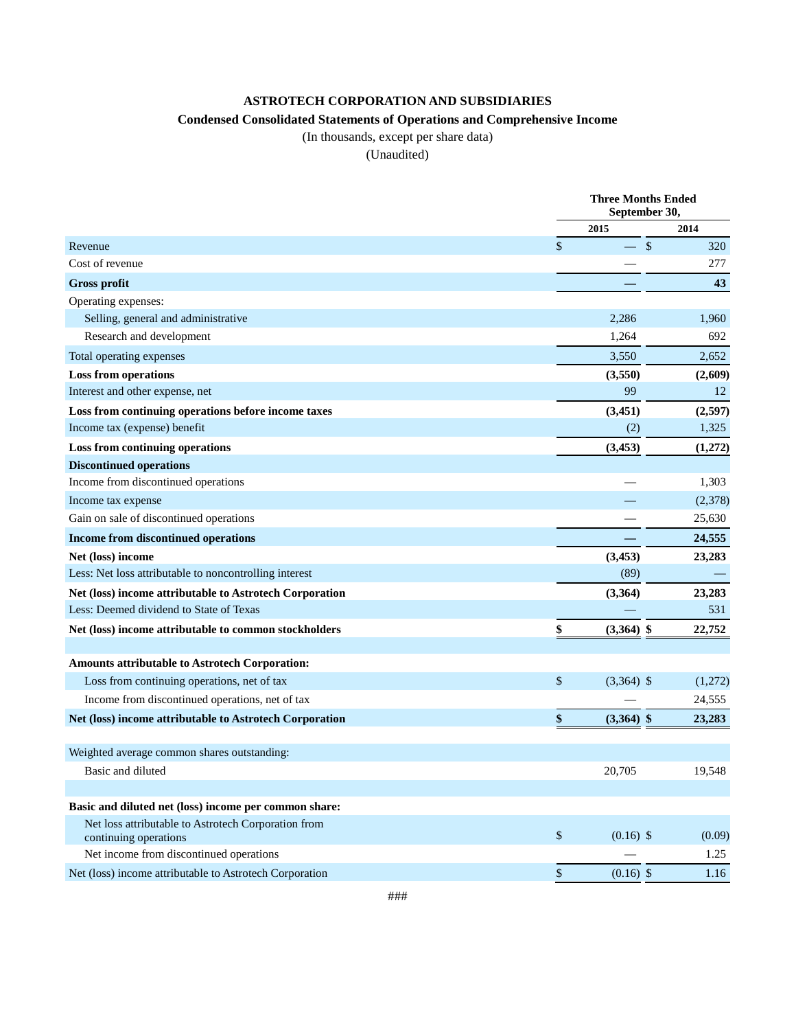## **ASTROTECH CORPORATION AND SUBSIDIARIES**

## **Condensed Consolidated Statements of Operations and Comprehensive Income**

(In thousands, except per share data)

(Unaudited)

|                                                                              | <b>Three Months Ended</b><br>September 30, |                    |  |
|------------------------------------------------------------------------------|--------------------------------------------|--------------------|--|
|                                                                              | 2015                                       | 2014               |  |
| Revenue                                                                      | \$                                         | $\sqrt{\ }$<br>320 |  |
| Cost of revenue                                                              |                                            | 277                |  |
| <b>Gross profit</b>                                                          |                                            | 43                 |  |
| Operating expenses:                                                          |                                            |                    |  |
| Selling, general and administrative                                          | 2,286                                      | 1,960              |  |
| Research and development                                                     | 1,264                                      | 692                |  |
| Total operating expenses                                                     | 3,550                                      | 2,652              |  |
| <b>Loss from operations</b>                                                  | (3,550)                                    | (2,609)            |  |
| Interest and other expense, net                                              | 99                                         | 12                 |  |
| Loss from continuing operations before income taxes                          | (3, 451)                                   | (2,597)            |  |
| Income tax (expense) benefit                                                 | (2)                                        | 1,325              |  |
| Loss from continuing operations                                              | (3, 453)                                   | (1,272)            |  |
| <b>Discontinued operations</b>                                               |                                            |                    |  |
| Income from discontinued operations                                          |                                            | 1,303              |  |
| Income tax expense                                                           |                                            | (2,378)            |  |
| Gain on sale of discontinued operations                                      |                                            | 25,630             |  |
| Income from discontinued operations                                          |                                            | 24,555             |  |
| Net (loss) income                                                            | (3, 453)                                   | 23,283             |  |
| Less: Net loss attributable to noncontrolling interest                       | (89)                                       |                    |  |
| Net (loss) income attributable to Astrotech Corporation                      | (3, 364)                                   | 23,283             |  |
| Less: Deemed dividend to State of Texas                                      |                                            | 531                |  |
| Net (loss) income attributable to common stockholders                        | \$<br>$(3,364)$ \$                         | 22,752             |  |
| Amounts attributable to Astrotech Corporation:                               |                                            |                    |  |
| Loss from continuing operations, net of tax                                  | \$<br>$(3,364)$ \$                         | (1,272)            |  |
| Income from discontinued operations, net of tax                              |                                            | 24,555             |  |
| Net (loss) income attributable to Astrotech Corporation                      | \$<br>$(3,364)$ \$                         | 23,283             |  |
| Weighted average common shares outstanding:                                  |                                            |                    |  |
| Basic and diluted                                                            | 20,705                                     | 19,548             |  |
| Basic and diluted net (loss) income per common share:                        |                                            |                    |  |
| Net loss attributable to Astrotech Corporation from<br>continuing operations | \$<br>$(0.16)$ \$                          | (0.09)             |  |
| Net income from discontinued operations                                      |                                            | 1.25               |  |
| Net (loss) income attributable to Astrotech Corporation                      | \$<br>$(0.16)$ \$                          | 1.16               |  |